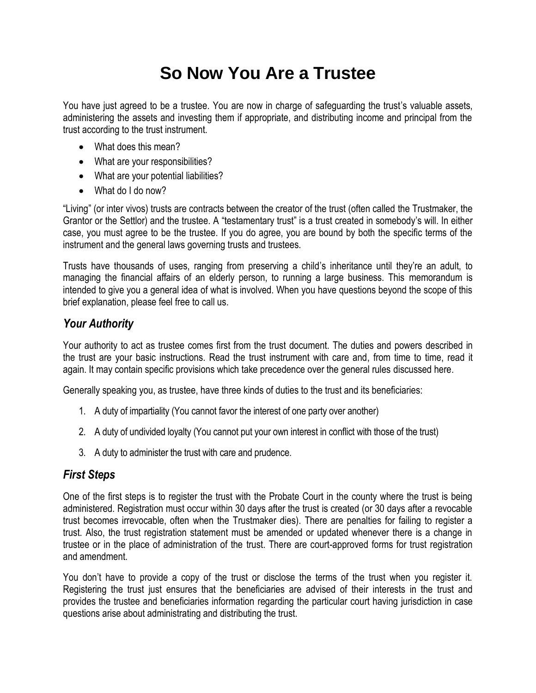# **So Now You Are a Trustee**

You have just agreed to be a trustee. You are now in charge of safeguarding the trust's valuable assets, administering the assets and investing them if appropriate, and distributing income and principal from the trust according to the trust instrument.

- What does this mean?
- What are your responsibilities?
- What are your potential liabilities?
- What do I do now?

"Living" (or inter vivos) trusts are contracts between the creator of the trust (often called the Trustmaker, the Grantor or the Settlor) and the trustee. A "testamentary trust" is a trust created in somebody's will. In either case, you must agree to be the trustee. If you do agree, you are bound by both the specific terms of the instrument and the general laws governing trusts and trustees.

Trusts have thousands of uses, ranging from preserving a child's inheritance until they're an adult, to managing the financial affairs of an elderly person, to running a large business. This memorandum is intended to give you a general idea of what is involved. When you have questions beyond the scope of this brief explanation, please feel free to call us.

# *Your Authority*

Your authority to act as trustee comes first from the trust document. The duties and powers described in the trust are your basic instructions. Read the trust instrument with care and, from time to time, read it again. It may contain specific provisions which take precedence over the general rules discussed here.

Generally speaking you, as trustee, have three kinds of duties to the trust and its beneficiaries:

- 1. A duty of impartiality (You cannot favor the interest of one party over another)
- 2. A duty of undivided loyalty (You cannot put your own interest in conflict with those of the trust)
- 3. A duty to administer the trust with care and prudence.

## *First Steps*

One of the first steps is to register the trust with the Probate Court in the county where the trust is being administered. Registration must occur within 30 days after the trust is created (or 30 days after a revocable trust becomes irrevocable, often when the Trustmaker dies). There are penalties for failing to register a trust. Also, the trust registration statement must be amended or updated whenever there is a change in trustee or in the place of administration of the trust. There are court-approved forms for trust registration and amendment.

You don't have to provide a copy of the trust or disclose the terms of the trust when you register it. Registering the trust just ensures that the beneficiaries are advised of their interests in the trust and provides the trustee and beneficiaries information regarding the particular court having jurisdiction in case questions arise about administrating and distributing the trust.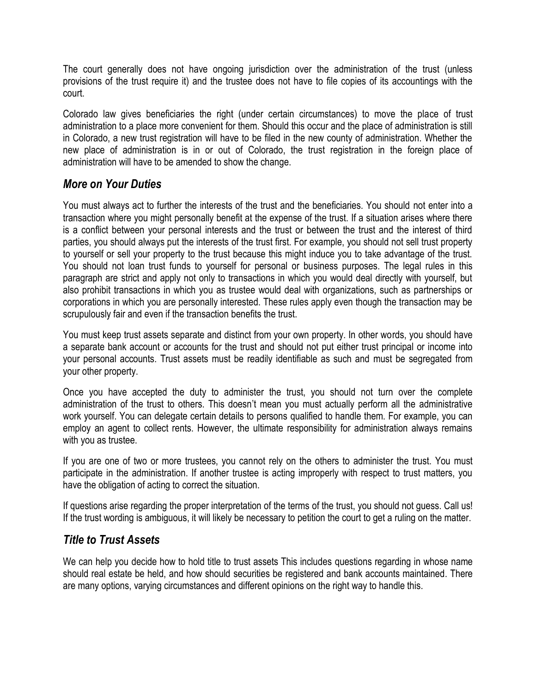The court generally does not have ongoing jurisdiction over the administration of the trust (unless provisions of the trust require it) and the trustee does not have to file copies of its accountings with the court.

Colorado law gives beneficiaries the right (under certain circumstances) to move the place of trust administration to a place more convenient for them. Should this occur and the place of administration is still in Colorado, a new trust registration will have to be filed in the new county of administration. Whether the new place of administration is in or out of Colorado, the trust registration in the foreign place of administration will have to be amended to show the change.

## *More on Your Duties*

You must always act to further the interests of the trust and the beneficiaries. You should not enter into a transaction where you might personally benefit at the expense of the trust. If a situation arises where there is a conflict between your personal interests and the trust or between the trust and the interest of third parties, you should always put the interests of the trust first. For example, you should not sell trust property to yourself or sell your property to the trust because this might induce you to take advantage of the trust. You should not loan trust funds to yourself for personal or business purposes. The legal rules in this paragraph are strict and apply not only to transactions in which you would deal directly with yourself, but also prohibit transactions in which you as trustee would deal with organizations, such as partnerships or corporations in which you are personally interested. These rules apply even though the transaction may be scrupulously fair and even if the transaction benefits the trust.

You must keep trust assets separate and distinct from your own property. In other words, you should have a separate bank account or accounts for the trust and should not put either trust principal or income into your personal accounts. Trust assets must be readily identifiable as such and must be segregated from your other property.

Once you have accepted the duty to administer the trust, you should not turn over the complete administration of the trust to others. This doesn't mean you must actually perform all the administrative work yourself. You can delegate certain details to persons qualified to handle them. For example, you can employ an agent to collect rents. However, the ultimate responsibility for administration always remains with you as trustee.

If you are one of two or more trustees, you cannot rely on the others to administer the trust. You must participate in the administration. If another trustee is acting improperly with respect to trust matters, you have the obligation of acting to correct the situation.

If questions arise regarding the proper interpretation of the terms of the trust, you should not guess. Call us! If the trust wording is ambiguous, it will likely be necessary to petition the court to get a ruling on the matter.

## *Title to Trust Assets*

We can help you decide how to hold title to trust assets This includes questions regarding in whose name should real estate be held, and how should securities be registered and bank accounts maintained. There are many options, varying circumstances and different opinions on the right way to handle this.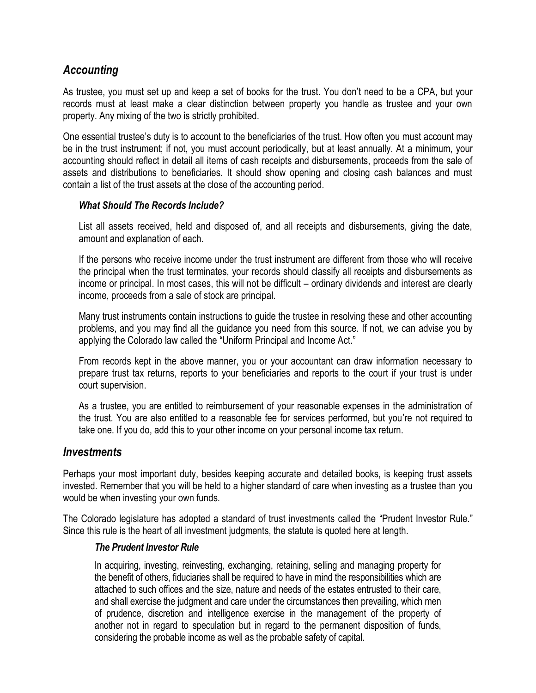## *Accounting*

As trustee, you must set up and keep a set of books for the trust. You don't need to be a CPA, but your records must at least make a clear distinction between property you handle as trustee and your own property. Any mixing of the two is strictly prohibited.

One essential trustee's duty is to account to the beneficiaries of the trust. How often you must account may be in the trust instrument; if not, you must account periodically, but at least annually. At a minimum, your accounting should reflect in detail all items of cash receipts and disbursements, proceeds from the sale of assets and distributions to beneficiaries. It should show opening and closing cash balances and must contain a list of the trust assets at the close of the accounting period.

#### *What Should The Records Include?*

List all assets received, held and disposed of, and all receipts and disbursements, giving the date, amount and explanation of each.

If the persons who receive income under the trust instrument are different from those who will receive the principal when the trust terminates, your records should classify all receipts and disbursements as income or principal. In most cases, this will not be difficult – ordinary dividends and interest are clearly income, proceeds from a sale of stock are principal.

Many trust instruments contain instructions to guide the trustee in resolving these and other accounting problems, and you may find all the guidance you need from this source. If not, we can advise you by applying the Colorado law called the "Uniform Principal and Income Act."

From records kept in the above manner, you or your accountant can draw information necessary to prepare trust tax returns, reports to your beneficiaries and reports to the court if your trust is under court supervision.

As a trustee, you are entitled to reimbursement of your reasonable expenses in the administration of the trust. You are also entitled to a reasonable fee for services performed, but you're not required to take one. If you do, add this to your other income on your personal income tax return.

#### *Investments*

Perhaps your most important duty, besides keeping accurate and detailed books, is keeping trust assets invested. Remember that you will be held to a higher standard of care when investing as a trustee than you would be when investing your own funds.

The Colorado legislature has adopted a standard of trust investments called the "Prudent Investor Rule." Since this rule is the heart of all investment judgments, the statute is quoted here at length.

#### *The Prudent Investor Rule*

In acquiring, investing, reinvesting, exchanging, retaining, selling and managing property for the benefit of others, fiduciaries shall be required to have in mind the responsibilities which are attached to such offices and the size, nature and needs of the estates entrusted to their care, and shall exercise the judgment and care under the circumstances then prevailing, which men of prudence, discretion and intelligence exercise in the management of the property of another not in regard to speculation but in regard to the permanent disposition of funds, considering the probable income as well as the probable safety of capital.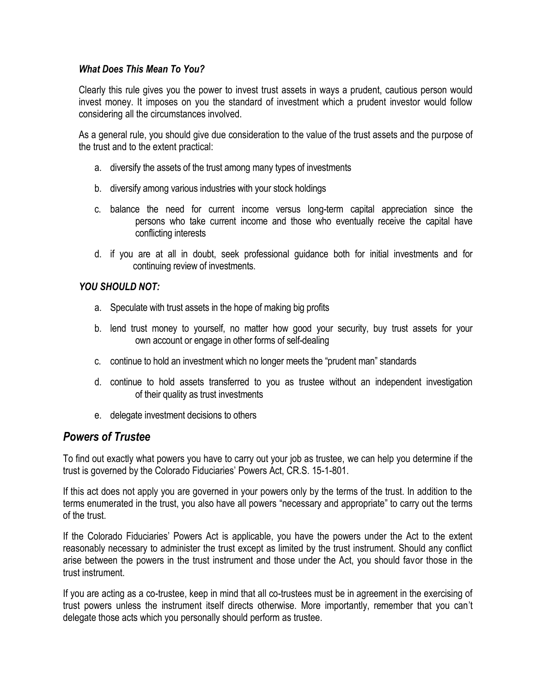#### *What Does This Mean To You?*

Clearly this rule gives you the power to invest trust assets in ways a prudent, cautious person would invest money. It imposes on you the standard of investment which a prudent investor would follow considering all the circumstances involved.

As a general rule, you should give due consideration to the value of the trust assets and the purpose of the trust and to the extent practical:

- a. diversify the assets of the trust among many types of investments
- b. diversify among various industries with your stock holdings
- c. balance the need for current income versus long-term capital appreciation since the persons who take current income and those who eventually receive the capital have conflicting interests
- d. if you are at all in doubt, seek professional guidance both for initial investments and for continuing review of investments.

#### *YOU SHOULD NOT:*

- a. Speculate with trust assets in the hope of making big profits
- b. lend trust money to yourself, no matter how good your security, buy trust assets for your own account or engage in other forms of self-dealing
- c. continue to hold an investment which no longer meets the "prudent man" standards
- d. continue to hold assets transferred to you as trustee without an independent investigation of their quality as trust investments
- e. delegate investment decisions to others

### *Powers of Trustee*

To find out exactly what powers you have to carry out your job as trustee, we can help you determine if the trust is governed by the Colorado Fiduciaries' Powers Act, CR.S. 15-1-801.

If this act does not apply you are governed in your powers only by the terms of the trust. In addition to the terms enumerated in the trust, you also have all powers "necessary and appropriate" to carry out the terms of the trust.

If the Colorado Fiduciaries' Powers Act is applicable, you have the powers under the Act to the extent reasonably necessary to administer the trust except as limited by the trust instrument. Should any conflict arise between the powers in the trust instrument and those under the Act, you should favor those in the trust instrument.

If you are acting as a co-trustee, keep in mind that all co-trustees must be in agreement in the exercising of trust powers unless the instrument itself directs otherwise. More importantly, remember that you can't delegate those acts which you personally should perform as trustee.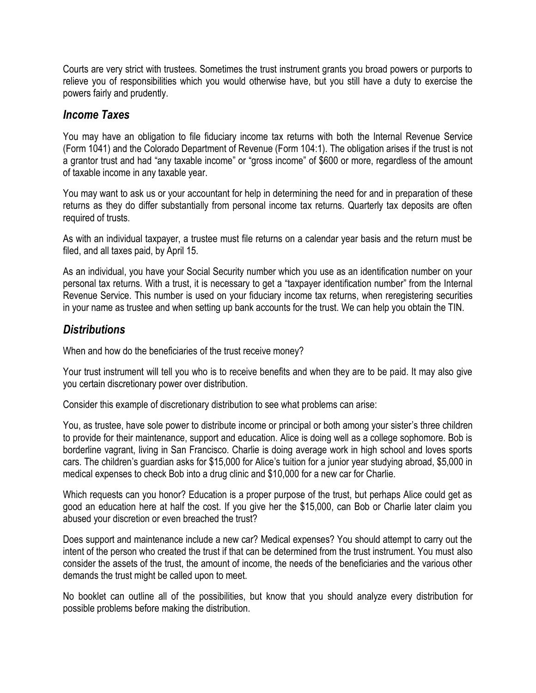Courts are very strict with trustees. Sometimes the trust instrument grants you broad powers or purports to relieve you of responsibilities which you would otherwise have, but you still have a duty to exercise the powers fairly and prudently.

## *Income Taxes*

You may have an obligation to file fiduciary income tax returns with both the Internal Revenue Service (Form 1041) and the Colorado Department of Revenue (Form 104:1). The obligation arises if the trust is not a grantor trust and had "any taxable income" or "gross income" of \$600 or more, regardless of the amount of taxable income in any taxable year.

You may want to ask us or your accountant for help in determining the need for and in preparation of these returns as they do differ substantially from personal income tax returns. Quarterly tax deposits are often required of trusts.

As with an individual taxpayer, a trustee must file returns on a calendar year basis and the return must be filed, and all taxes paid, by April 15.

As an individual, you have your Social Security number which you use as an identification number on your personal tax returns. With a trust, it is necessary to get a "taxpayer identification number" from the Internal Revenue Service. This number is used on your fiduciary income tax returns, when reregistering securities in your name as trustee and when setting up bank accounts for the trust. We can help you obtain the TIN.

## *Distributions*

When and how do the beneficiaries of the trust receive money?

Your trust instrument will tell you who is to receive benefits and when they are to be paid. It may also give you certain discretionary power over distribution.

Consider this example of discretionary distribution to see what problems can arise:

You, as trustee, have sole power to distribute income or principal or both among your sister's three children to provide for their maintenance, support and education. Alice is doing well as a college sophomore. Bob is borderline vagrant, living in San Francisco. Charlie is doing average work in high school and loves sports cars. The children's guardian asks for \$15,000 for Alice's tuition for a junior year studying abroad, \$5,000 in medical expenses to check Bob into a drug clinic and \$10,000 for a new car for Charlie.

Which requests can you honor? Education is a proper purpose of the trust, but perhaps Alice could get as good an education here at half the cost. If you give her the \$15,000, can Bob or Charlie later claim you abused your discretion or even breached the trust?

Does support and maintenance include a new car? Medical expenses? You should attempt to carry out the intent of the person who created the trust if that can be determined from the trust instrument. You must also consider the assets of the trust, the amount of income, the needs of the beneficiaries and the various other demands the trust might be called upon to meet.

No booklet can outline all of the possibilities, but know that you should analyze every distribution for possible problems before making the distribution.